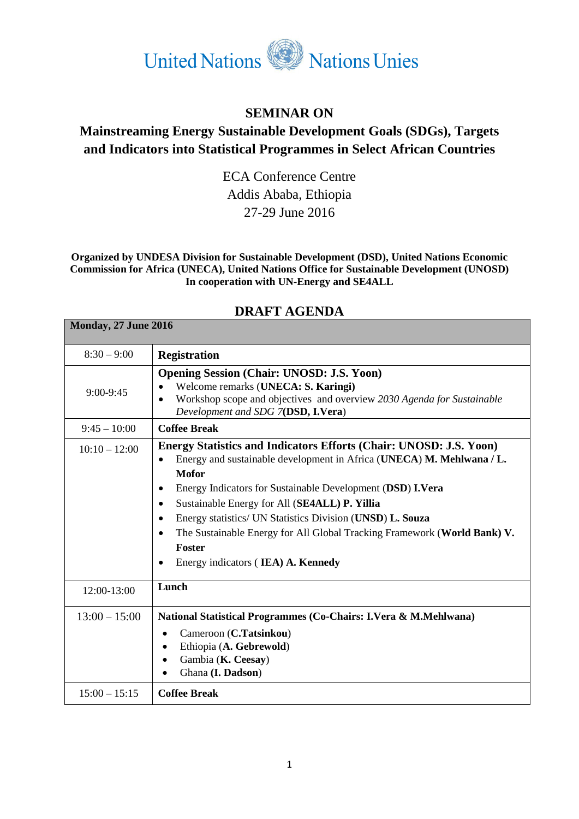

## **SEMINAR ON**

## **Mainstreaming Energy Sustainable Development Goals (SDGs), Targets and Indicators into Statistical Programmes in Select African Countries**

ECA Conference Centre Addis Ababa, Ethiopia 27-29 June 2016

**Organized by UNDESA Division for Sustainable Development (DSD), United Nations Economic Commission for Africa (UNECA), United Nations Office for Sustainable Development (UNOSD) In cooperation with UN-Energy and SE4ALL**

| $8:30 - 9:00$   | <b>Registration</b>                                                                                                                                                                                                                                                                                                                                                                                                                                                                                                      |
|-----------------|--------------------------------------------------------------------------------------------------------------------------------------------------------------------------------------------------------------------------------------------------------------------------------------------------------------------------------------------------------------------------------------------------------------------------------------------------------------------------------------------------------------------------|
| $9:00-9:45$     | <b>Opening Session (Chair: UNOSD: J.S. Yoon)</b><br>Welcome remarks (UNECA: S. Karingi)<br>$\bullet$<br>Workshop scope and objectives and overview 2030 Agenda for Sustainable<br>$\bullet$<br>Development and SDG 7(DSD, I.Vera)                                                                                                                                                                                                                                                                                        |
| $9:45 - 10:00$  | <b>Coffee Break</b>                                                                                                                                                                                                                                                                                                                                                                                                                                                                                                      |
| $10:10 - 12:00$ | Energy Statistics and Indicators Efforts (Chair: UNOSD: J.S. Yoon)<br>Energy and sustainable development in Africa (UNECA) M. Mehlwana / L.<br>$\bullet$<br><b>Mofor</b><br>Energy Indicators for Sustainable Development (DSD) I.Vera<br>٠<br>Sustainable Energy for All (SE4ALL) P. Yillia<br>٠<br>Energy statistics/ UN Statistics Division (UNSD) L. Souza<br>٠<br>The Sustainable Energy for All Global Tracking Framework (World Bank) V.<br>$\bullet$<br><b>Foster</b><br>Energy indicators (IEA) A. Kennedy<br>٠ |
| 12:00-13:00     | Lunch                                                                                                                                                                                                                                                                                                                                                                                                                                                                                                                    |
| $13:00 - 15:00$ | National Statistical Programmes (Co-Chairs: I.Vera & M.Mehlwana)<br>Cameroon (C.Tatsinkou)<br>Ethiopia (A. Gebrewold)<br>Gambia (K. Ceesay)<br>Ghana (I. Dadson)                                                                                                                                                                                                                                                                                                                                                         |
| $15:00 - 15:15$ | <b>Coffee Break</b>                                                                                                                                                                                                                                                                                                                                                                                                                                                                                                      |

## **DRAFT AGENDA**

**Monday, 27 June 2016**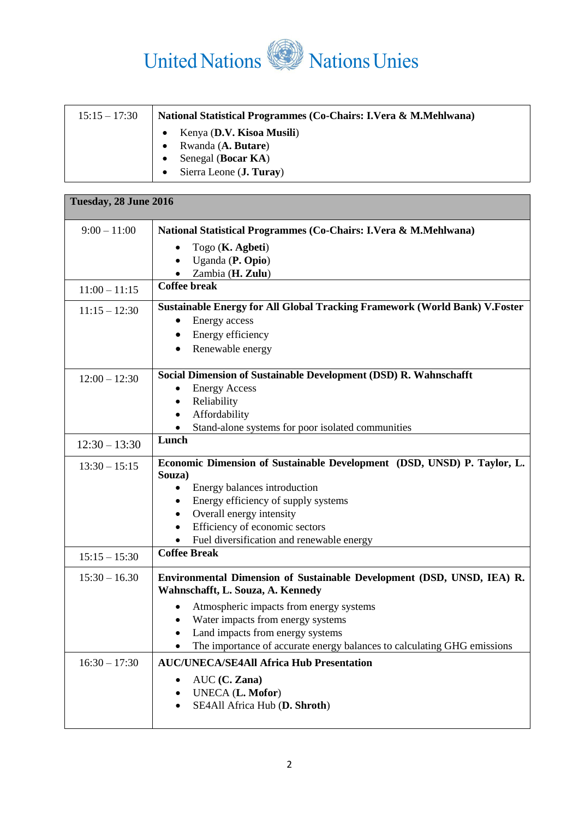

| $15:15 - 17:30$ | <b>National Statistical Programmes (Co-Chairs: I.Vera &amp; M.Mehlwana)</b> |
|-----------------|-----------------------------------------------------------------------------|
|                 | Kenya (D.V. Kisoa Musili)<br>Rwanda (A. Butare)                             |
|                 | Senegal (Bocar KA)<br>Sierra Leone ( <b>J. Turay</b> )                      |

| Tuesday, 28 June 2016 |                                                                                                             |
|-----------------------|-------------------------------------------------------------------------------------------------------------|
| $9:00 - 11:00$        | National Statistical Programmes (Co-Chairs: I.Vera & M.Mehlwana)                                            |
|                       | Togo (K. Agbeti)                                                                                            |
|                       | Uganda (P. Opio)                                                                                            |
|                       | Zambia (H. Zulu)                                                                                            |
| $11:00 - 11:15$       | <b>Coffee break</b>                                                                                         |
| $11:15 - 12:30$       | <b>Sustainable Energy for All Global Tracking Framework (World Bank) V.Foster</b>                           |
|                       | Energy access                                                                                               |
|                       | Energy efficiency                                                                                           |
|                       | Renewable energy<br>$\bullet$                                                                               |
| $12:00 - 12:30$       | Social Dimension of Sustainable Development (DSD) R. Wahnschafft                                            |
|                       | <b>Energy Access</b>                                                                                        |
|                       | Reliability                                                                                                 |
|                       | Affordability                                                                                               |
|                       | Stand-alone systems for poor isolated communities                                                           |
| $12:30 - 13:30$       | Lunch                                                                                                       |
| $13:30 - 15:15$       | Economic Dimension of Sustainable Development (DSD, UNSD) P. Taylor, L.<br>Souza)                           |
|                       | Energy balances introduction<br>٠                                                                           |
|                       | Energy efficiency of supply systems                                                                         |
|                       | Overall energy intensity                                                                                    |
|                       | Efficiency of economic sectors                                                                              |
|                       | Fuel diversification and renewable energy<br>$\bullet$                                                      |
| $15:15 - 15:30$       | <b>Coffee Break</b>                                                                                         |
| $15:30 - 16.30$       | Environmental Dimension of Sustainable Development (DSD, UNSD, IEA) R.<br>Wahnschafft, L. Souza, A. Kennedy |
|                       | Atmospheric impacts from energy systems                                                                     |
|                       | Water impacts from energy systems                                                                           |
|                       | Land impacts from energy systems                                                                            |
|                       | The importance of accurate energy balances to calculating GHG emissions                                     |
| $16:30 - 17:30$       | <b>AUC/UNECA/SE4All Africa Hub Presentation</b>                                                             |
|                       | $AUC$ (C. Zana)                                                                                             |
|                       | UNECA (L. Mofor)                                                                                            |
|                       | SE4All Africa Hub (D. Shroth)                                                                               |
|                       |                                                                                                             |